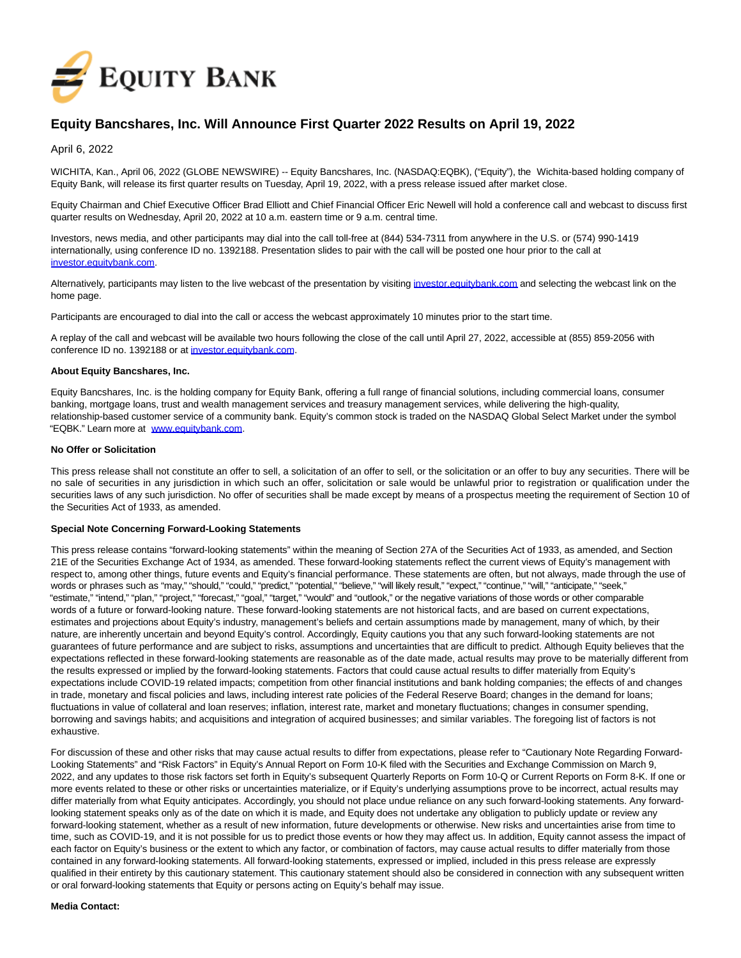

# **Equity Bancshares, Inc. Will Announce First Quarter 2022 Results on April 19, 2022**

April 6, 2022

WICHITA, Kan., April 06, 2022 (GLOBE NEWSWIRE) -- Equity Bancshares, Inc. (NASDAQ:EQBK), ("Equity"), the Wichita-based holding company of Equity Bank, will release its first quarter results on Tuesday, April 19, 2022, with a press release issued after market close.

Equity Chairman and Chief Executive Officer Brad Elliott and Chief Financial Officer Eric Newell will hold a conference call and webcast to discuss first quarter results on Wednesday, April 20, 2022 at 10 a.m. eastern time or 9 a.m. central time.

Investors, news media, and other participants may dial into the call toll-free at (844) 534-7311 from anywhere in the U.S. or (574) 990-1419 internationally, using conference ID no. 1392188. Presentation slides to pair with the call will be posted one hour prior to the call at [investor.equitybank.com.](https://www.globenewswire.com/Tracker?data=4akxDjqYpRIxPzlNCOWRAc0oDOOgN-RmCs9UR9uKtTeXeXDkiG_vQG4pYZB6OCFP_iy-FcgpDmAMJZvxi687oawzeKNnOMD5BcufWzKEmu0=)

Alternatively, participants may listen to the live webcast of the presentation by visiting [investor.equitybank.com a](https://www.globenewswire.com/Tracker?data=4akxDjqYpRIxPzlNCOWRAc0oDOOgN-RmCs9UR9uKtTcNsBOkzN5xBvFxcRBEBdt1tdmzmsWpHJ_qiXOmrASZd8PvN5Y6MDDPL_n44jOrHq8=)nd selecting the webcast link on the home page.

Participants are encouraged to dial into the call or access the webcast approximately 10 minutes prior to the start time.

A replay of the call and webcast will be available two hours following the close of the call until April 27, 2022, accessible at (855) 859-2056 with conference ID no. 1392188 or at [investor.equitybank.com.](https://www.globenewswire.com/Tracker?data=4akxDjqYpRIxPzlNCOWRAc0oDOOgN-RmCs9UR9uKtTe-w9exv1QIVFtP8fOQWEtXmYnPjXSxsWbF9pRC3vHmp2U8BQmEYvJLC0NGEZlzbWU=)

### **About Equity Bancshares, Inc.**

Equity Bancshares, Inc. is the holding company for Equity Bank, offering a full range of financial solutions, including commercial loans, consumer banking, mortgage loans, trust and wealth management services and treasury management services, while delivering the high-quality, relationship-based customer service of a community bank. Equity's common stock is traded on the NASDAQ Global Select Market under the symbol "EQBK." Learn more at [www.equitybank.com.](https://www.globenewswire.com/Tracker?data=YwDKZHq-q-ZxaEYqNCXCmvH32sseumY7ODjt9P1g35GXaOeI6IlX0qEWlVNtRc0oBGUwATj1jOX7mnrC-fcX4f1VvoZttkHcukVo9DWEf7c=)

#### **No Offer or Solicitation**

This press release shall not constitute an offer to sell, a solicitation of an offer to sell, or the solicitation or an offer to buy any securities. There will be no sale of securities in any jurisdiction in which such an offer, solicitation or sale would be unlawful prior to registration or qualification under the securities laws of any such jurisdiction. No offer of securities shall be made except by means of a prospectus meeting the requirement of Section 10 of the Securities Act of 1933, as amended.

#### **Special Note Concerning Forward-Looking Statements**

This press release contains "forward-looking statements" within the meaning of Section 27A of the Securities Act of 1933, as amended, and Section 21E of the Securities Exchange Act of 1934, as amended. These forward-looking statements reflect the current views of Equity's management with respect to, among other things, future events and Equity's financial performance. These statements are often, but not always, made through the use of words or phrases such as "may," "should," "could," "predict," "potential," "believe," "will likely result," "expect," "continue," "will," "anticipate," "seek," "estimate," "intend," "plan," "project," "forecast," "goal," "target," "would" and "outlook," or the negative variations of those words or other comparable words of a future or forward-looking nature. These forward-looking statements are not historical facts, and are based on current expectations, estimates and projections about Equity's industry, management's beliefs and certain assumptions made by management, many of which, by their nature, are inherently uncertain and beyond Equity's control. Accordingly, Equity cautions you that any such forward-looking statements are not guarantees of future performance and are subject to risks, assumptions and uncertainties that are difficult to predict. Although Equity believes that the expectations reflected in these forward-looking statements are reasonable as of the date made, actual results may prove to be materially different from the results expressed or implied by the forward-looking statements. Factors that could cause actual results to differ materially from Equity's expectations include COVID-19 related impacts; competition from other financial institutions and bank holding companies; the effects of and changes in trade, monetary and fiscal policies and laws, including interest rate policies of the Federal Reserve Board; changes in the demand for loans; fluctuations in value of collateral and loan reserves; inflation, interest rate, market and monetary fluctuations; changes in consumer spending, borrowing and savings habits; and acquisitions and integration of acquired businesses; and similar variables. The foregoing list of factors is not exhaustive.

For discussion of these and other risks that may cause actual results to differ from expectations, please refer to "Cautionary Note Regarding Forward-Looking Statements" and "Risk Factors" in Equity's Annual Report on Form 10-K filed with the Securities and Exchange Commission on March 9, 2022, and any updates to those risk factors set forth in Equity's subsequent Quarterly Reports on Form 10-Q or Current Reports on Form 8-K. If one or more events related to these or other risks or uncertainties materialize, or if Equity's underlying assumptions prove to be incorrect, actual results may differ materially from what Equity anticipates. Accordingly, you should not place undue reliance on any such forward-looking statements. Any forwardlooking statement speaks only as of the date on which it is made, and Equity does not undertake any obligation to publicly update or review any forward-looking statement, whether as a result of new information, future developments or otherwise. New risks and uncertainties arise from time to time, such as COVID-19, and it is not possible for us to predict those events or how they may affect us. In addition, Equity cannot assess the impact of each factor on Equity's business or the extent to which any factor, or combination of factors, may cause actual results to differ materially from those contained in any forward-looking statements. All forward-looking statements, expressed or implied, included in this press release are expressly qualified in their entirety by this cautionary statement. This cautionary statement should also be considered in connection with any subsequent written or oral forward-looking statements that Equity or persons acting on Equity's behalf may issue.

#### **Media Contact:**